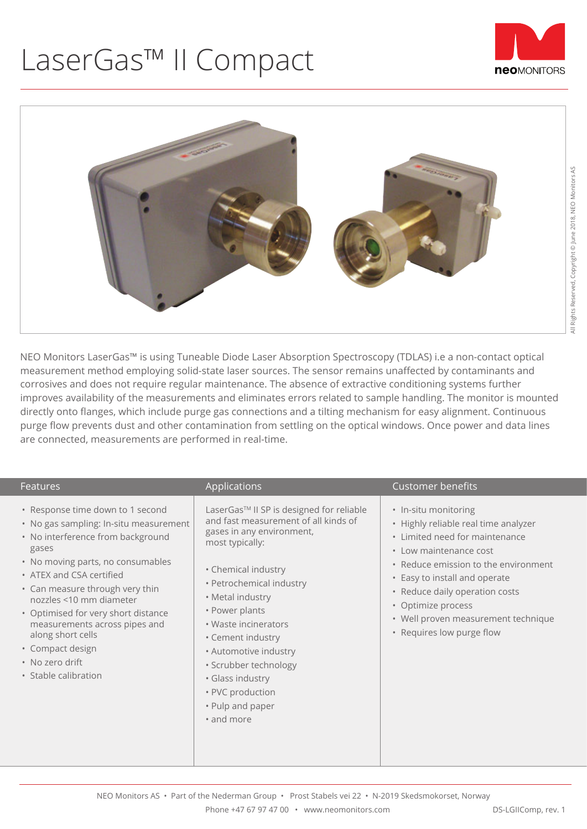## LaserGas™ II Compact





NEO Monitors LaserGas™ is using Tuneable Diode Laser Absorption Spectroscopy (TDLAS) i.e a non-contact optical measurement method employing solid-state laser sources. The sensor remains unaffected by contaminants and corrosives and does not require regular maintenance. The absence of extractive conditioning systems further improves availability of the measurements and eliminates errors related to sample handling. The monitor is mounted directly onto flanges, which include purge gas connections and a tilting mechanism for easy alignment. Continuous purge flow prevents dust and other contamination from settling on the optical windows. Once power and data lines are connected, measurements are performed in real-time.

| <b>Features</b>                                                                                                                                                                                                                                                                                                                                                                                                     | Applications                                                                                                                                                                                                                                                                                                                                                                                       | <b>Customer benefits</b>                                                                                                                                                                                                                                                                                                      |
|---------------------------------------------------------------------------------------------------------------------------------------------------------------------------------------------------------------------------------------------------------------------------------------------------------------------------------------------------------------------------------------------------------------------|----------------------------------------------------------------------------------------------------------------------------------------------------------------------------------------------------------------------------------------------------------------------------------------------------------------------------------------------------------------------------------------------------|-------------------------------------------------------------------------------------------------------------------------------------------------------------------------------------------------------------------------------------------------------------------------------------------------------------------------------|
| • Response time down to 1 second<br>• No gas sampling: In-situ measurement<br>• No interference from background<br>gases<br>• No moving parts, no consumables<br>• ATEX and CSA certified<br>• Can measure through very thin<br>nozzles <10 mm diameter<br>• Optimised for very short distance<br>measurements across pipes and<br>along short cells<br>• Compact design<br>• No zero drift<br>• Stable calibration | LaserGas™ II SP is designed for reliable<br>and fast measurement of all kinds of<br>gases in any environment,<br>most typically:<br>• Chemical industry<br>· Petrochemical industry<br>• Metal industry<br>• Power plants<br>• Waste incinerators<br>• Cement industry<br>• Automotive industry<br>· Scrubber technology<br>· Glass industry<br>• PVC production<br>• Pulp and paper<br>• and more | • In-situ monitoring<br>• Highly reliable real time analyzer<br>• Limited need for maintenance<br>• Low maintenance cost<br>• Reduce emission to the environment<br>• Easy to install and operate<br>• Reduce daily operation costs<br>• Optimize process<br>• Well proven measurement technique<br>• Requires low purge flow |